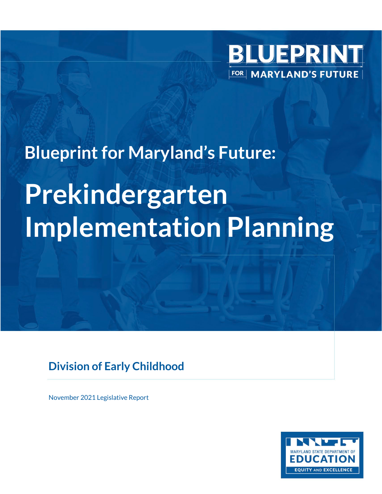

# **Blueprint for Maryland's Future: Prekindergarten Implementation Planning**

### **Division of Early Childhood**

November 2021 Legislative Report

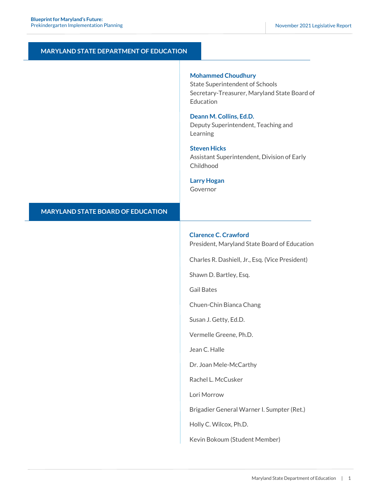#### **MARYLAND STATE DEPARTMENT OF EDUCATION**

#### **Mohammed Choudhury**

State Superintendent of Schools Secretary-Treasurer, Maryland State Board of **Education** 

#### **Deann M. Collins, Ed.D.**

Deputy Superintendent, Teaching and Learning

#### **Steven Hicks**

Assistant Superintendent, Division of Early Childhood

#### **Larry Hogan**

Governor

#### **MARYLAND STATE BOARD OF EDUCATION**

#### **Clarence C. Crawford**

President, Maryland State Board of Education

Charles R. Dashiell, Jr., Esq. (Vice President)

Shawn D. Bartley, Esq.

Gail Bates

Chuen-Chin Bianca Chang

Susan J. Getty, Ed.D.

Vermelle Greene, Ph.D.

Jean C. Halle

Dr. Joan Mele-McCarthy

Rachel L. McCusker

Lori Morrow

Brigadier General Warner I. Sumpter (Ret.)

Holly C. Wilcox, Ph.D.

Kevin Bokoum (Student Member)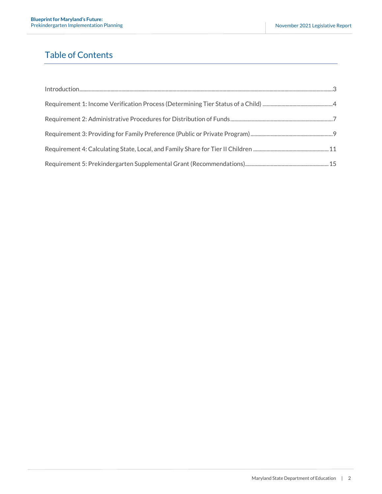### Table of Contents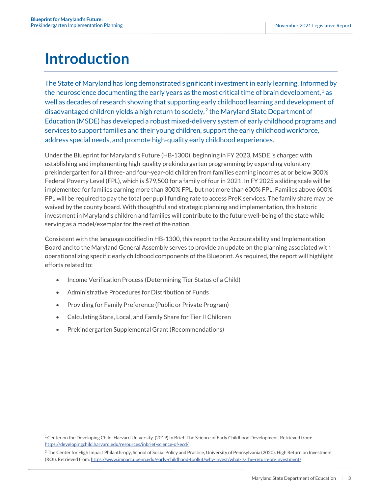### <span id="page-3-0"></span>**Introduction**

The State of Maryland has long demonstrated significant investment in early learning. Informed by the neuroscience documenting the early years as the most critical time of brain development,  $^1$  $^1$  as well as decades of research showing that supporting early childhood learning and development of disadvantaged children yields a high return to society, $2$  the Maryland State Department of Education (MSDE) has developed a robust mixed-delivery system of early childhood programs and services to support families and their young children, support the early childhood workforce, address special needs, and promote high-quality early childhood experiences.

Under the Blueprint for Maryland's Future (HB-1300), beginning in FY 2023, MSDE is charged with establishing and implementing high-quality prekindergarten programming by expanding voluntary prekindergarten for all three- and four-year-old children from families earning incomes at or below 300% Federal Poverty Level (FPL), which is \$79,500 for a family of four in 2021. In FY 2025 a sliding scale will be implemented for families earning more than 300% FPL, but not more than 600% FPL. Families above 600% FPL will be required to pay the total per pupil funding rate to access PreK services. The family share may be waived by the county board. With thoughtful and strategic planning and implementation, this historic investment in Maryland's children and families will contribute to the future well-being of the state while serving as a model/exemplar for the rest of the nation.

Consistent with the language codified in HB-1300, this report to the Accountability and Implementation Board and to the Maryland General Assembly serves to provide an update on the planning associated with operationalizing specific early childhood components of the Blueprint. As required, the report will highlight efforts related to:

- Income Verification Process (Determining Tier Status of a Child)
- Administrative Procedures for Distribution of Funds
- Providing for Family Preference (Public or Private Program)
- Calculating State, Local, and Family Share for Tier II Children
- Prekindergarten Supplemental Grant (Recommendations)

<span id="page-3-1"></span><sup>1</sup>Center on the Developing Child: Harvard University. (2019) In Brief: The Science of Early Childhood Development. Retrieved from: <https://developingchild.harvard.edu/resources/inbrief-science-of-ecd/>

<span id="page-3-2"></span><sup>&</sup>lt;sup>2</sup> The Center for High Impact Philanthropy, School of Social Policy and Practice, University of Pennsylvania (2020). High Return on Investment (ROI). Retrieved from: <https://www.impact.upenn.edu/early-childhood-toolkit/why-invest/what-is-the-return-on-investment/>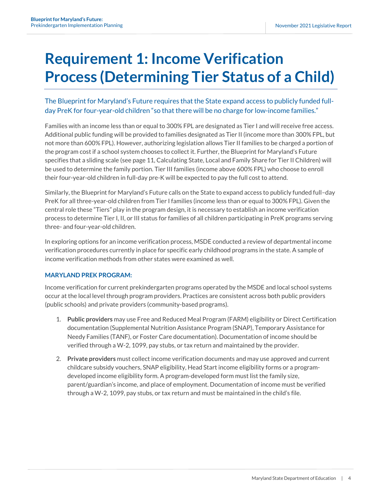### <span id="page-4-0"></span>**Requirement 1: Income Verification Process (Determining Tier Status of a Child)**

#### The Blueprint for Maryland's Future requires that the State expand access to publicly funded fullday PreK for four-year-old children "so that there will be no charge for low-income families."

Families with an income less than or equal to 300% FPL are designated as Tier I and will receive free access. Additional public funding will be provided to families designated as Tier II (income more than 300% FPL, but not more than 600% FPL). However, authorizing legislation allows Tier II families to be charged a portion of the program cost if a school system chooses to collect it. Further, the Blueprint for Maryland's Future specifies that a sliding scale (see page 11, Calculating State, Local and Family Share for Tier II Children) will be used to determine the family portion. Tier III families (income above 600% FPL) who choose to enroll their four-year-old children in full-day pre-K will be expected to pay the full cost to attend.

Similarly, the Blueprint for Maryland's Future calls on the State to expand access to publicly funded full–day PreK for all three-year-old children from Tier I families (income less than or equal to 300% FPL). Given the central role these "Tiers" play in the program design, it is necessary to establish an income verification process to determine Tier I, II, or III status for families of all children participating in PreK programs serving three- and four-year-old children.

In exploring options for an income verification process, MSDE conducted a review of departmental income verification procedures currently in place for specific early childhood programs in the state. A sample of income verification methods from other states were examined as well.

#### **MARYLAND PREK PROGRAM:**

Income verification for current prekindergarten programs operated by the MSDE and local school systems occur at the local level through program providers. Practices are consistent across both public providers (public schools) and private providers (community-based programs).

- 1. **Public providers** may use Free and Reduced Meal Program (FARM) eligibility or Direct Certification documentation (Supplemental Nutrition Assistance Program (SNAP), Temporary Assistance for Needy Families (TANF), or Foster Care documentation). Documentation of income should be verified through a W-2, 1099, pay stubs, or tax return and maintained by the provider.
- 2. **Private providers** must collect income verification documents and may use approved and current childcare subsidy vouchers, SNAP eligibility, Head Start income eligibility forms or a programdeveloped income eligibility form. A program-developed form must list the family size, parent/guardian's income, and place of employment. Documentation of income must be verified through a W-2, 1099, pay stubs, or tax return and must be maintained in the child's file.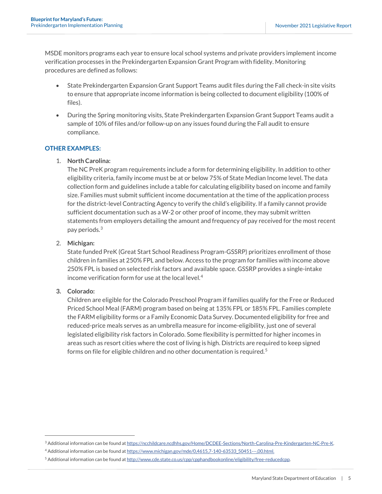MSDE monitors programs each year to ensure local school systems and private providers implement income verification processes in the Prekindergarten Expansion Grant Program with fidelity. Monitoring procedures are defined as follows:

- State Prekindergarten Expansion Grant Support Teams audit files during the Fall check-in site visits to ensure that appropriate income information is being collected to document eligibility (100% of files).
- During the Spring monitoring visits, State Prekindergarten Expansion Grant Support Teams audit a sample of 10% of files and/or follow-up on any issues found during the Fall audit to ensure compliance.

#### **OTHER EXAMPLES:**

#### 1. **North Carolina:**

The NC PreK program requirements include a form for determining eligibility. In addition to other eligibility criteria, family income must be at or below 75% of State Median Income level. The data collection form and guidelines include a table for calculating eligibility based on income and family size. Families must submit sufficient income documentation at the time of the application process for the district-level Contracting Agency to verify the child's eligibility. If a family cannot provide sufficient documentation such as a W-2 or other proof of income, they may submit written statements from employers detailing the amount and frequency of pay received for the most recent pay periods. [3](#page-5-0)

#### 2. **Michigan:**

State funded PreK (Great Start School Readiness Program-GSSRP) prioritizes enrollment of those children in families at 250% FPL and below. Access to the program for families with income above 250% FPL is based on selected risk factors and available space. GSSRP provides a single-intake income verification form for use at the local level  $4$ 

#### **3. Colorado:**

Children are eligible for the Colorado Preschool Program if families qualify for the Free or Reduced Priced School Meal (FARM) program based on being at 135% FPL or 185% FPL. Families complete the FARM eligibility forms or a Family Economic Data Survey. Documented eligibility for free and reduced-price meals serves as an umbrella measure for income-eligibility, just one of several legislated eligibility risk factors in Colorado. Some flexibility is permitted for higher incomes in areas such as resort cities where the cost of living is high. Districts are required to keep signed forms on file for eligible children and no other documentation is required.<sup>[5](#page-5-2)</sup>

<span id="page-5-1"></span><span id="page-5-0"></span><sup>3</sup> Additional information can be found at [https://ncchildcare.ncdhhs.gov/Home/DCDEE-Sections/North-Carolina-Pre-Kindergarten-NC-Pre-K.](https://ncchildcare.ncdhhs.gov/Home/DCDEE-Sections/North-Carolina-Pre-Kindergarten-NC-Pre-K)

<sup>4</sup> Additional information can be found a[t https://www.michigan.gov/mde/0,4615,7-140-63533\\_50451---,00.html.](https://www.michigan.gov/mde/0,4615,7-140-63533_50451---,00.html)

<span id="page-5-2"></span><sup>&</sup>lt;sup>5</sup> Additional information can be found a[t http://www.cde.state.co.us/cpp/cpphandbookonline/eligibility/free-reducedcpp.](http://www.cde.state.co.us/cpp/cpphandbookonline/eligibility/free-reducedcpp)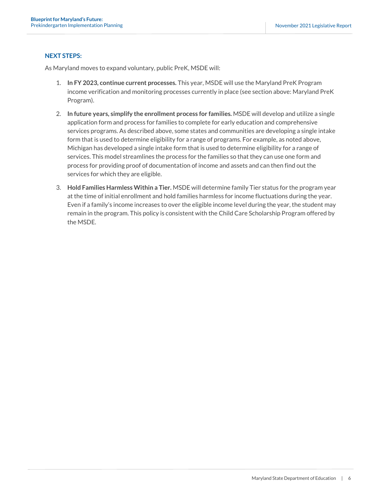#### **NEXT STEPS:**

- 1. **In FY 2023, continue current processes.** This year, MSDE will use the Maryland PreK Program income verification and monitoring processes currently in place (see section above: Maryland PreK Program).
- 2. **In future years, simplify the enrollment process for families.** MSDE will develop and utilize a single application form and process for families to complete for early education and comprehensive services programs. As described above, some states and communities are developing a single intake form that is used to determine eligibility for a range of programs. For example, as noted above, Michigan has developed a single intake form that is used to determine eligibility for a range of services. This model streamlines the process for the families so that they can use one form and process for providing proof of documentation of income and assets and can then find out the services for which they are eligible.
- 3. **Hold Families Harmless Within a Tier.** MSDE will determine family Tier status for the program year at the time of initial enrollment and hold families harmless for income fluctuations during the year. Even if a family's income increases to over the eligible income level during the year, the student may remain in the program. This policy is consistent with the Child Care Scholarship Program offered by the MSDE.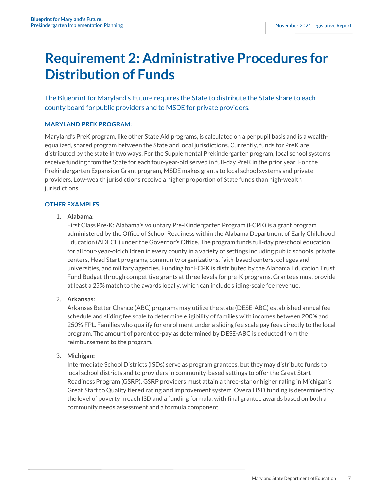### <span id="page-7-0"></span>**Requirement 2: Administrative Procedures for Distribution of Funds**

The Blueprint for Maryland's Future requires the State to distribute the State share to each county board for public providers and to MSDE for private providers.

#### **MARYLAND PREK PROGRAM:**

Maryland's PreK program, like other State Aid programs, is calculated on a per pupil basis and is a wealthequalized, shared program between the State and local jurisdictions. Currently, funds for PreK are distributed by the state in two ways. For the Supplemental Prekindergarten program, local school systems receive funding from the State for each four-year-old served in full-day PreK in the prior year. For the Prekindergarten Expansion Grant program, MSDE makes grants to local school systems and private providers. Low-wealth jurisdictions receive a higher proportion of State funds than high-wealth jurisdictions.

#### **OTHER EXAMPLES:**

#### 1. **Alabama:**

First Class Pre-K: Alabama's voluntary Pre-Kindergarten Program (FCPK) is a grant program administered by the Office of School Readiness within the Alabama Department of Early Childhood Education (ADECE) under the Governor's Office. The program funds full-day preschool education for all four-year-old children in every county in a variety of settings including public schools, private centers, Head Start programs, community organizations, faith-based centers, colleges and universities, and military agencies. Funding for FCPK is distributed by the Alabama Education Trust Fund Budget through competitive grants at three levels for pre-K programs. Grantees must provide at least a 25% match to the awards locally, which can include sliding-scale fee revenue.

#### 2. **Arkansas:**

Arkansas Better Chance (ABC) programs may utilize the state (DESE-ABC) established annual fee schedule and sliding fee scale to determine eligibility of families with incomes between 200% and 250% FPL. Families who qualify for enrollment under a sliding fee scale pay fees directly to the local program. The amount of parent co-pay as determined by DESE-ABC is deducted from the reimbursement to the program.

#### 3. **Michigan:**

Intermediate School Districts (ISDs) serve as program grantees, but they may distribute funds to local school districts and to providers in community-based settings to offer the Great Start Readiness Program (GSRP). GSRP providers must attain a three-star or higher rating in Michigan's Great Start to Quality tiered rating and improvement system. Overall ISD funding is determined by the level of poverty in each ISD and a funding formula, with final grantee awards based on both a community needs assessment and a formula component.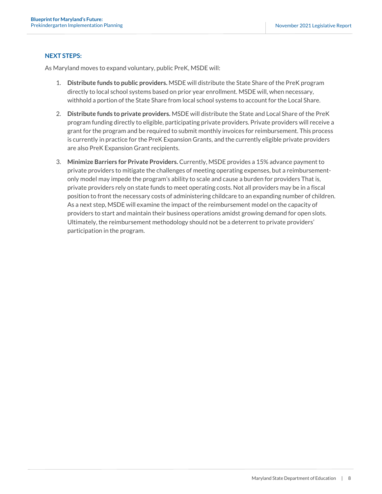#### **NEXT STEPS:**

- 1. **Distribute funds to public providers.** MSDE will distribute the State Share of the PreK program directly to local school systems based on prior year enrollment. MSDE will, when necessary, withhold a portion of the State Share from local school systems to account for the Local Share.
- 2. **Distribute funds to private providers.** MSDE will distribute the State and Local Share of the PreK program funding directly to eligible, participating private providers. Private providers will receive a grant for the program and be required to submit monthly invoices for reimbursement. This process is currently in practice for the PreK Expansion Grants, and the currently eligible private providers are also PreK Expansion Grant recipients.
- 3. **Minimize Barriers for Private Providers.** Currently, MSDE provides a 15% advance payment to private providers to mitigate the challenges of meeting operating expenses, but a reimbursementonly model may impede the program's ability to scale and cause a burden for providers That is, private providers rely on state funds to meet operating costs. Not all providers may be in a fiscal position to front the necessary costs of administering childcare to an expanding number of children. As a next step, MSDE will examine the impact of the reimbursement model on the capacity of providers to start and maintain their business operations amidst growing demand for open slots. Ultimately, the reimbursement methodology should not be a deterrent to private providers' participation in the program.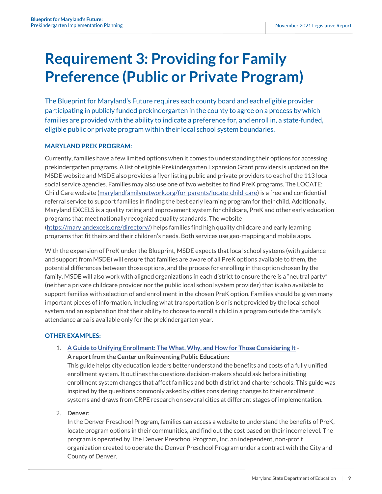### <span id="page-9-0"></span>**Requirement 3: Providing for Family Preference (Public or Private Program)**

The Blueprint for Maryland's Future requires each county board and each eligible provider participating in publicly funded prekindergarten in the county to agree on a process by which families are provided with the ability to indicate a preference for, and enroll in, a state-funded, eligible public or private program within their local school system boundaries.

#### **MARYLAND PREK PROGRAM:**

Currently, families have a few limited options when it comes to understanding their options for accessing prekindergarten programs. A list of eligible Prekindergarten Expansion Grant providers is updated on the MSDE website and MSDE also provides a flyer listing public and private providers to each of the 113 local social service agencies. Families may also use one of two websites to find PreK programs. The LOCATE: Child Care website [\(marylandfamilynetwork.org/for-parents/locate-child-care\)](https://www.marylandfamilynetwork.org/for-parents/locate-child-care) is a free and confidential referral service to support families in finding the best early learning program for their child. Additionally, Maryland EXCELS is a quality rating and improvement system for childcare, PreK and other early education programs that meet nationally recognized quality standards. The website [\(https://marylandexcels.org/directory/\)](https://marylandexcels.org/directory/) helps families find high quality childcare and early learning programs that fit theirs and their children's needs. Both services use geo-mapping and mobile apps.

With the expansion of PreK under the Blueprint, MSDE expects that local school systems (with guidance and support from MSDE) will ensure that families are aware of all PreK options available to them, the potential differences between those options, and the process for enrolling in the option chosen by the family. MSDE will also work with aligned organizations in each district to ensure there is a "neutral party" (neither a private childcare provider nor the public local school system provider) that is also available to support families with selection of and enrollment in the chosen PreK option. Families should be given many important pieces of information, including what transportation is or is not provided by the local school system and an explanation that their ability to choose to enroll a child in a program outside the family's attendance area is available only for the prekindergarten year.

#### **OTHER EXAMPLES:**

1. **[A Guide to Unifying Enrollment: The What, Why, and How for Those Considering It](https://www.crpe.org/publications/unifying-enrollment-guide) - A report from the Center on Reinventing Public Education:**

This guide helps city education leaders better understand the benefits and costs of a fully unified enrollment system. It outlines the questions decision-makers should ask before initiating enrollment system changes that affect families and both district and charter schools. This guide was inspired by the questions commonly asked by cities considering changes to their enrollment systems and draws from CRPE research on several cities at different stages of implementation.

#### 2. **Denver:**

In the Denver Preschool Program, families can access a website to understand the benefits of PreK, locate program options in their communities, and find out the cost based on their income level. The program is operated by The Denver Preschool Program, Inc. an independent, non-profit organization created to operate the Denver Preschool Program under a contract with the City and County of Denver.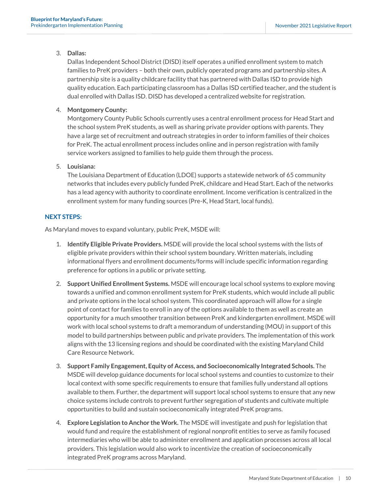#### 3. **Dallas:**

Dallas Independent School District (DISD) itself operates a unified enrollment system to match families to PreK providers – both their own, publicly operated programs and partnership sites. A partnership site is a quality childcare facility that has partnered with Dallas ISD to provide high quality education. Each participating classroom has a Dallas ISD certified teacher, and the student is dual enrolled with Dallas ISD. DISD has developed a centralized website for registration.

#### 4. **Montgomery County:**

Montgomery County Public Schools currently uses a central enrollment process for Head Start and the school system PreK students, as well as sharing private provider options with parents. They have a large set of recruitment and outreach strategies in order to inform families of their choices for PreK. The actual enrollment process includes online and in person registration with family service workers assigned to families to help guide them through the process.

#### 5. **Louisiana:**

The Louisiana Department of Education (LDOE) supports a statewide network of 65 community networks that includes every publicly funded PreK, childcare and Head Start. Each of the networks has a lead agency with authority to coordinate enrollment. Income verification is centralized in the enrollment system for many funding sources (Pre-K, Head Start, local funds).

#### **NEXT STEPS:**

- 1. **Identify Eligible Private Providers.** MSDE will provide the local school systems with the lists of eligible private providers within their school system boundary. Written materials, including informational flyers and enrollment documents/forms will include specific information regarding preference for options in a public or private setting.
- 2. **Support Unified Enrollment Systems.** MSDE will encourage local school systems to explore moving towards a unified and common enrollment system for PreK students, which would include all public and private options in the local school system. This coordinated approach will allow for a single point of contact for families to enroll in any of the options available to them as well as create an opportunity for a much smoother transition between PreK and kindergarten enrollment. MSDE will work with local school systems to draft a memorandum of understanding (MOU) in support of this model to build partnerships between public and private providers. The implementation of this work aligns with the 13 licensing regions and should be coordinated with the existing Maryland Child Care Resource Network.
- 3. **Support Family Engagement, Equity of Access, and Socioeconomically Integrated Schools.** The MSDE will develop guidance documents for local school systems and counties to customize to their local context with some specific requirements to ensure that families fully understand all options available to them. Further, the department will support local school systems to ensure that any new choice systems include controls to prevent further segregation of students and cultivate multiple opportunities to build and sustain socioeconomically integrated PreK programs.
- <span id="page-10-0"></span>4. **Explore Legislation to Anchor the Work.** The MSDE will investigate and push for legislation that would fund and require the establishment of regional nonprofit entities to serve as family focused intermediaries who will be able to administer enrollment and application processes across all local providers. This legislation would also work to incentivize the creation of socioeconomically integrated PreK programs across Maryland.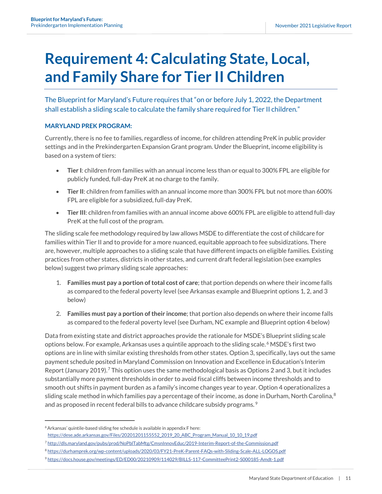## **Requirement 4: Calculating State, Local, and Family Share for Tier II Children**

The Blueprint for Maryland's Future requires that "on or before July 1, 2022, the Department shall establish a sliding scale to calculate the family share required for Tier II children."

#### **MARYLAND PREK PROGRAM:**

Currently, there is no fee to families, regardless of income, for children attending PreK in public provider settings and in the Prekindergarten Expansion Grant program. Under the Blueprint, income eligibility is based on a system of tiers:

- **Tier I**: children from families with an annual income less than or equal to 300% FPL are eligible for publicly funded, full-day PreK at no charge to the family.
- **Tier II**: children from families with an annual income more than 300% FPL but not more than 600% FPL are eligible for a subsidized, full-day PreK.
- **Tier III**: children from families with an annual income above 600% FPL are eligible to attend full-day PreK at the full cost of the program.

The sliding scale fee methodology required by law allows MSDE to differentiate the cost of childcare for families within Tier II and to provide for a more nuanced, equitable approach to fee subsidizations. There are, however, multiple approaches to a sliding scale that have different impacts on eligible families. Existing practices from other states, districts in other states, and current draft federal legislation (see examples below) suggest two primary sliding scale approaches:

- 1. **Families must pay a portion of total cost of care**; that portion depends on where their income falls as compared to the federal poverty level (see Arkansas example and Blueprint options 1, 2, and 3 below)
- 2. **Families must pay a portion of their income**; that portion also depends on where their income falls as compared to the federal poverty level (see Durham, NC example and Blueprint option 4 below)

Data from existing state and district approaches provide the rationale for MSDE's Blueprint sliding scale options below. For example, Arkansas uses a quintile approach to the sliding scale. [6](#page-11-0) MSDE's first two options are in line with similar existing thresholds from other states. Option 3, specifically, lays out the same payment schedule posited in Maryland Commission on Innovation and Excellence in Education's Interim Report (January 2019).<sup>[7](#page-11-1)</sup> This option uses the same methodological basis as Options 2 and 3, but it includes substantially more payment thresholds in order to avoid fiscal cliffs between income thresholds and to smooth out shifts in payment burden as a family's income changes year to year. Option 4 operationalizes a sliding scale method in which families pay a percentage of their income, as done in Durham, North Carolina,<sup>[8](#page-11-2)</sup> and as proposed in recent federal bills to advance childcare subsidy programs.  $^9$ 

<span id="page-11-0"></span><sup>6</sup> Arkansas' quintile-based sliding fee schedule is available in appendix F here:

[https://dese.ade.arkansas.gov/Files/20201201155552\\_2019\\_20\\_ABC\\_Program\\_Manual\\_10\\_10\\_19.pdf](https://dese.ade.arkansas.gov/Files/20201201155552_2019_20_ABC_Program_Manual_10_10_19.pdf)

<span id="page-11-1"></span><sup>7</sup> <http://dls.maryland.gov/pubs/prod/NoPblTabMtg/CmsnInnovEduc/2019-Interim-Report-of-the-Commission.pdf>

<span id="page-11-2"></span><sup>8</sup> <https://durhamprek.org/wp-content/uploads/2020/03/FY21-PreK-Parent-FAQs-with-Sliding-Scale-ALL-LOGOS.pdf>

<span id="page-11-3"></span><sup>9</sup> <https://docs.house.gov/meetings/ED/ED00/20210909/114029/BILLS-117-CommitteePrint2-S000185-Amdt-1.pdf>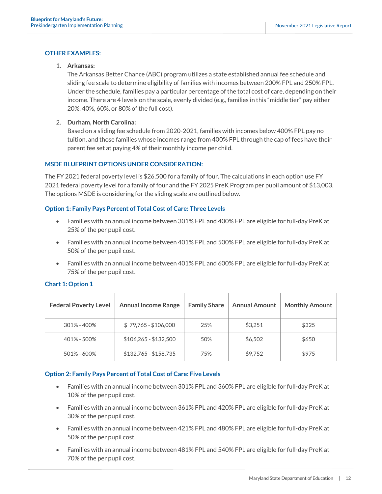#### **OTHER EXAMPLES:**

#### 1. **Arkansas:**

The Arkansas Better Chance (ABC) program utilizes a state established annual fee schedule and sliding fee scale to determine eligibility of families with incomes between 200% FPL and 250% FPL. Under the schedule, families pay a particular percentage of the total cost of care, depending on their income. There are 4 levels on the scale, evenly divided (e.g., families in this "middle tier" pay either 20%, 40%, 60%, or 80% of the full cost).

#### 2. **Durham, North Carolina:**

Based on a sliding fee schedule from 2020-2021, families with incomes below 400% FPL pay no tuition, and those families whose incomes range from 400% FPL through the cap of fees have their parent fee set at paying 4% of their monthly income per child.

#### **MSDE BLUEPRINT OPTIONS UNDER CONSIDERATION:**

The FY 2021 federal poverty level is \$26,500 for a family of four. The calculations in each option use FY 2021 federal poverty level for a family of four and the FY 2025 PreK Program per pupil amount of \$13,003. The options MSDE is considering for the sliding scale are outlined below.

#### **Option 1: Family Pays Percent of Total Cost of Care: Three Levels**

- Families with an annual income between 301% FPL and 400% FPL are eligible for full-day PreK at 25% of the per pupil cost.
- Families with an annual income between 401% FPL and 500% FPL are eligible for full-day PreK at 50% of the per pupil cost.
- Families with an annual income between 401% FPL and 600% FPL are eligible for full-day PreK at 75% of the per pupil cost.

| <b>Federal Poverty Level</b> | <b>Annual Income Range</b> | <b>Family Share</b> | <b>Annual Amount</b> | <b>Monthly Amount</b> |
|------------------------------|----------------------------|---------------------|----------------------|-----------------------|
| $301\% - 400\%$              | $$79,765 - $106,000$       | 25%                 | \$3,251              | \$325                 |
| 401% - 500%                  | $$106,265 - $132,500$      | 50%                 | \$6,502              | \$650                 |
| 501% - 600%                  | $$132,765 - $158,735$      | 75%                 | \$9,752              | \$975                 |

#### **Chart 1: Option 1**

#### **Option 2: Family Pays Percent of Total Cost of Care: Five Levels**

- Families with an annual income between 301% FPL and 360% FPL are eligible for full-day PreK at 10% of the per pupil cost.
- Families with an annual income between 361% FPL and 420% FPL are eligible for full-day PreK at 30% of the per pupil cost.
- Families with an annual income between 421% FPL and 480% FPL are eligible for full-day PreK at 50% of the per pupil cost.
- Families with an annual income between 481% FPL and 540% FPL are eligible for full-day PreK at 70% of the per pupil cost.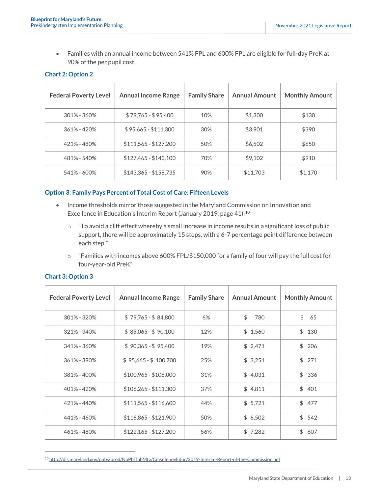• Families with an annual income between 541% FPL and 600% FPL are eligible for full-day PreK at 90% of the per pupil cost.

#### **Chart 2: Option 2**

| <b>Federal Poverty Level</b> | <b>Annual Income Range</b> | <b>Family Share</b> | <b>Annual Amount</b> | <b>Monthly Amount</b> |
|------------------------------|----------------------------|---------------------|----------------------|-----------------------|
| $301\% - 360\%$              | $$79,765 - $95,400$        | 10%                 | \$1,300              | \$130                 |
| $361\% - 420\%$              | $$95,665 - $111,300$       | 30%                 | \$3,901              | \$390                 |
| 421% - 480%                  | $$111,565 - $127,200$      | 50%                 | \$6,502              | \$650                 |
| 481% - 540%                  | $$127,465 - $143,100$      | 70%                 | \$9,102              | \$910                 |
| 541% - 600%                  | $$143,365 - $158,735$      | 90%                 | \$11,703             | \$1.170               |

#### **Option 3: Family Pays Percent of Total Cost of Care: Fifteen Levels**

- Income thresholds mirror those suggested in the Maryland Commission on Innovation and Excellence in Education's Interim Report (January 2019, page 41).<sup>[10](#page-13-0)</sup>
	- o "To avoid a cliff effect whereby a small increase in income results in a significant loss of public support, there will be approximately 15 steps, with a 6-7 percentage point difference between each step."
	- $\circ$  "Families with incomes above 600% FPL/\$150,000 for a family of four will pay the full cost for four-year-old PreK"

| <b>Federal Poverty Level</b> | <b>Annual Income Range</b> | <b>Family Share</b> | <b>Annual Amount</b> | <b>Monthly Amount</b> |
|------------------------------|----------------------------|---------------------|----------------------|-----------------------|
| 301% - 320%                  | $$79,765 - $84,800$        | 6%                  | \$<br>780            | \$<br>65              |
| 321% - 340%                  | $$85,065 - $90,100$        | 12%                 | \$1,560              | \$<br>130             |
| 341% - 360%                  | $$90,365 - $95,400$        | 19%                 | \$2,471              | \$<br>206             |
| 361% - 380%                  | $$95,665 - $100,700$       | 25%                 | \$3,251              | \$<br>271             |
| 381% - 400%                  | $$100,965 - $106,000$      | 31%                 | \$4,031              | \$<br>336             |
| 401% - 420%                  | $$106,265 - $111,300$      | 37%                 | \$4,811              | \$<br>401             |
| 421% - 440%                  | $$111,565 - $116,600$      | 44%                 | \$5,721              | \$<br>477             |
| 441% - 460%                  | $$116,865 - $121,900$      | 50%                 | \$6,502              | \$542                 |
| 461% - 480%                  | $$122,165 - $127,200$      | 56%                 | \$7,282              | \$<br>607             |

#### **Chart 3: Option 3**

<span id="page-13-0"></span><sup>10</sup> <http://dls.maryland.gov/pubs/prod/NoPblTabMtg/CmsnInnovEduc/2019-Interim-Report-of-the-Commission.pdf>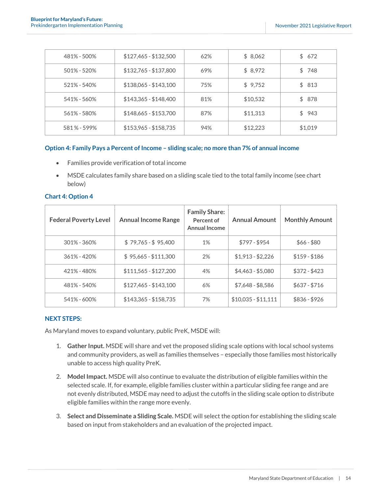| 481% - 500%  | $$127,465 - $132,500$ | 62% | \$8,062  | \$672   |
|--------------|-----------------------|-----|----------|---------|
| 501% - 520%  | \$132,765 - \$137,800 | 69% | \$8,972  | \$748   |
| 521% - 540%  | $$138,065 - $143,100$ | 75% | \$9,752  | \$813   |
| 541% - 560%  | $$143,365 - $148,400$ | 81% | \$10,532 | \$ 878  |
| 561% - 580%  | $$148,665 - $153,700$ | 87% | \$11,313 | \$943   |
| 581 % - 599% | \$153,965 - \$158,735 | 94% | \$12,223 | \$1,019 |

#### **Option 4: Family Pays a Percent of Income – sliding scale; no more than 7% of annual income**

- Families provide verification of total income
- MSDE calculates family share based on a sliding scale tied to the total family income (see chart below)

| <b>Federal Poverty Level</b> | <b>Annual Income Range</b> | <b>Family Share:</b><br>Percent of<br><b>Annual Income</b> | <b>Annual Amount</b> | <b>Monthly Amount</b> |
|------------------------------|----------------------------|------------------------------------------------------------|----------------------|-----------------------|
| $301\% - 360\%$              | $$79,765 - $95,400$        | 1%                                                         | $$797 - $954$        | $$66 - $80$           |
| 361% - 420%                  | $$95,665 - $111,300$       | 2%                                                         | $$1,913 - $2,226$    | $$159 - $186$         |
| 421% - 480%                  | $$111,565 - $127,200$      | 4%                                                         | $$4,463 - $5,080$    | $$372 - $423$         |
| 481% - 540%                  | $$127,465 - $143,100$      | 6%                                                         | $$7,648 - $8,586$    | $$637 - $716$         |
| 541% - 600%                  | $$143,365 - $158,735$      | 7%                                                         | $$10,035 - $11,111$  | $$836 - $926$         |

#### **Chart 4: Option 4**

#### **NEXT STEPS:**

- 1. **Gather Input.** MSDE will share and vet the proposed sliding scale options with local school systems and community providers, as well as families themselves – especially those families most historically unable to access high quality PreK.
- 2. **Model Impact.** MSDE will also continue to evaluate the distribution of eligible families within the selected scale. If, for example, eligible families cluster within a particular sliding fee range and are not evenly distributed, MSDE may need to adjust the cutoffs in the sliding scale option to distribute eligible families within the range more evenly.
- 3. **Select and Disseminate a Sliding Scale.** MSDE will select the option for establishing the sliding scale based on input from stakeholders and an evaluation of the projected impact.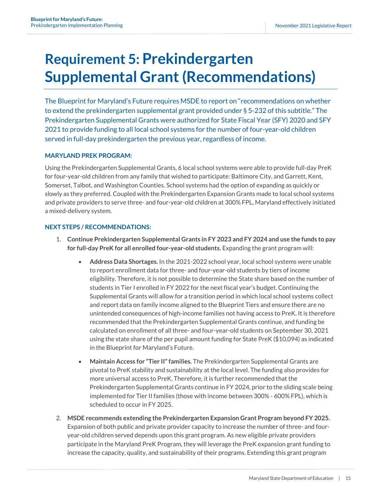### <span id="page-15-0"></span>**Requirement 5: Prekindergarten Supplemental Grant (Recommendations)**

The Blueprint for Maryland's Future requires MSDE to report on "recommendations on whether to extend the prekindergarten supplemental grant provided under § 5-232 of this subtitle." The Prekindergarten Supplemental Grants were authorized for State Fiscal Year (SFY) 2020 and SFY 2021 to provide funding to all local school systems for the number of four-year-old children served in full-day prekindergarten the previous year, regardless of income.

#### **MARYLAND PREK PROGRAM:**

Using the Prekindergarten Supplemental Grants, 6 local school systems were able to provide full-day PreK for four-year-old children from any family that wished to participate: Baltimore City, and Garrett, Kent, Somerset, Talbot, and Washington Counties. School systems had the option of expanding as quickly or slowly as they preferred. Coupled with the Prekindergarten Expansion Grants made to local school systems and private providers to serve three- and four-year-old children at 300% FPL, Maryland effectively initiated a mixed-delivery system.

#### **NEXT STEPS / RECOMMENDATIONS:**

- 1. **Continue Prekindergarten Supplemental Grants in FY 2023 and FY 2024 and use the funds to pay for full-day PreK for all enrolled four-year-old students.** Expanding the grant program will:
	- **Address Data Shortages.** In the 2021-2022 school year, local school systems were unable to report enrollment data for three- and four-year-old students by tiers of income eligibility. Therefore, it is not possible to determine the State share based on the number of students in Tier I enrolled in FY 2022 for the next fiscal year's budget. Continuing the Supplemental Grants will allow for a transition period in which local school systems collect and report data on family income aligned to the Blueprint Tiers and ensure there are no unintended consequences of high-income families not having access to PreK. It is therefore recommended that the Prekindergarten Supplemental Grants continue, and funding be calculated on enrollment of all three- and four-year-old students on September 30, 2021 using the state share of the per pupil amount funding for State PreK (\$10,094) as indicated in the Blueprint for Maryland's Future.
	- **Maintain Access for "Tier II" families.** The Prekindergarten Supplemental Grants are pivotal to PreK stability and sustainability at the local level. The funding also provides for more universal access to PreK. Therefore, it is further recommended that the Prekindergarten Supplemental Grants continue in FY 2024, prior to the sliding scale being implemented for Tier II families (those with income between 300% - 600% FPL), which is scheduled to occur in FY 2025.
- 2. **MSDE recommends extending the Prekindergarten Expansion Grant Program beyond FY 2025.** Expansion of both public and private provider capacity to increase the number of three- and fouryear-old children served depends upon this grant program. As new eligible private providers participate in the Maryland PreK Program, they will leverage the PreK expansion grant funding to increase the capacity, quality, and sustainability of their programs. Extending this grant program